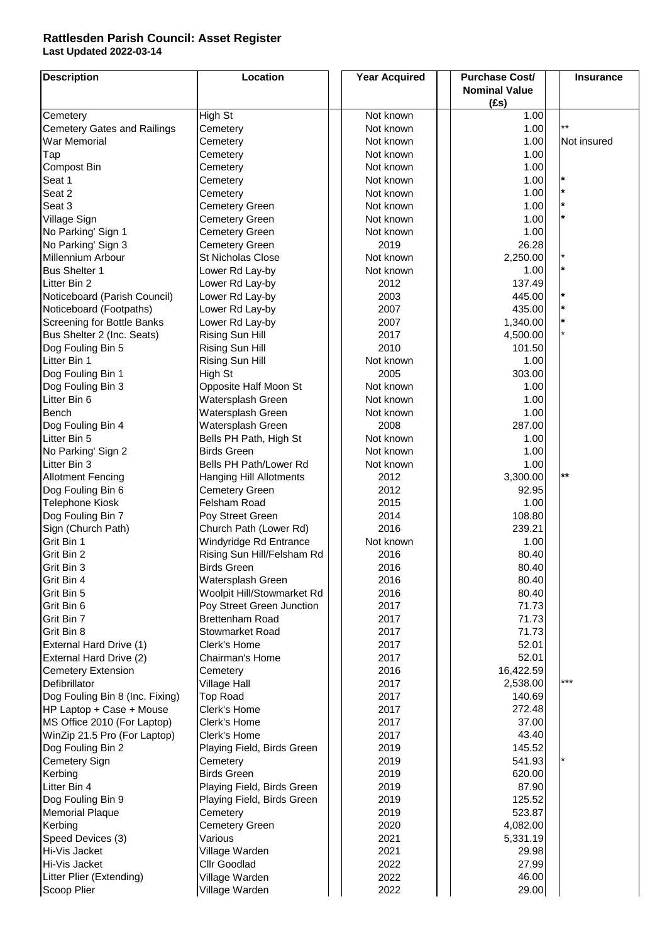## **Last Updated 2022-03-14 Rattlesden Parish Council: Asset Register**

| <b>Description</b>                      | Location                                          | <b>Year Acquired</b> | <b>Purchase Cost/</b> | <b>Insurance</b> |
|-----------------------------------------|---------------------------------------------------|----------------------|-----------------------|------------------|
|                                         |                                                   |                      | <b>Nominal Value</b>  |                  |
|                                         |                                                   |                      | (fs)                  |                  |
| Cemetery                                | High St                                           | Not known            | 1.00                  |                  |
| <b>Cemetery Gates and Railings</b>      | Cemetery                                          | Not known            | 1.00                  | $***$            |
| War Memorial                            | Cemetery                                          | Not known            | 1.00                  | Not insured      |
| Tap                                     | Cemetery                                          | Not known            | 1.00                  |                  |
| Compost Bin                             | Cemetery                                          | Not known            | 1.00                  | $\ast$           |
| Seat 1                                  | Cemetery                                          | Not known            | 1.00                  | $\star$          |
| Seat 2                                  | Cemetery                                          | Not known            | 1.00                  | $\star$          |
| Seat 3                                  | <b>Cemetery Green</b>                             | Not known            | 1.00<br>1.00          | $\star$          |
| Village Sign<br>No Parking' Sign 1      | <b>Cemetery Green</b>                             | Not known            | 1.00                  |                  |
|                                         | <b>Cemetery Green</b>                             | Not known            | 26.28                 |                  |
| No Parking' Sign 3<br>Millennium Arbour | <b>Cemetery Green</b><br><b>St Nicholas Close</b> | 2019<br>Not known    | 2,250.00              | $\star$          |
| <b>Bus Shelter 1</b>                    | Lower Rd Lay-by                                   | Not known            | 1.00                  | $\star$          |
| Litter Bin 2                            | Lower Rd Lay-by                                   | 2012                 | 137.49                |                  |
| Noticeboard (Parish Council)            | Lower Rd Lay-by                                   | 2003                 | 445.00                | $\star$          |
| Noticeboard (Footpaths)                 | Lower Rd Lay-by                                   | 2007                 | 435.00                | $\star$          |
| Screening for Bottle Banks              | Lower Rd Lay-by                                   | 2007                 | 1,340.00              | $\star$          |
| Bus Shelter 2 (Inc. Seats)              | Rising Sun Hill                                   | 2017                 | 4,500.00              |                  |
| Dog Fouling Bin 5                       | Rising Sun Hill                                   | 2010                 | 101.50                |                  |
| Litter Bin 1                            | Rising Sun Hill                                   | Not known            | 1.00                  |                  |
| Dog Fouling Bin 1                       | High St                                           | 2005                 | 303.00                |                  |
| Dog Fouling Bin 3                       | Opposite Half Moon St                             | Not known            | 1.00                  |                  |
| Litter Bin 6                            | Watersplash Green                                 | Not known            | 1.00                  |                  |
| Bench                                   | Watersplash Green                                 | Not known            | 1.00                  |                  |
| Dog Fouling Bin 4                       | Watersplash Green                                 | 2008                 | 287.00                |                  |
| Litter Bin 5                            | Bells PH Path, High St                            | Not known            | 1.00                  |                  |
| No Parking' Sign 2                      | <b>Birds Green</b>                                | Not known            | 1.00                  |                  |
| Litter Bin 3                            | Bells PH Path/Lower Rd                            | Not known            | 1.00                  |                  |
| <b>Allotment Fencing</b>                | <b>Hanging Hill Allotments</b>                    | 2012                 | 3,300.00              | $***$            |
| Dog Fouling Bin 6                       | <b>Cemetery Green</b>                             | 2012                 | 92.95                 |                  |
| Telephone Kiosk                         | Felsham Road                                      | 2015                 | 1.00                  |                  |
| Dog Fouling Bin 7                       | Poy Street Green                                  | 2014                 | 108.80                |                  |
| Sign (Church Path)                      | Church Path (Lower Rd)                            | 2016                 | 239.21                |                  |
| Grit Bin 1                              | Windyridge Rd Entrance                            | Not known            | 1.00                  |                  |
| Grit Bin 2                              | Rising Sun Hill/Felsham Rd                        | 2016                 | 80.40                 |                  |
| Grit Bin 3                              | <b>Birds Green</b>                                | 2016                 | 80.40                 |                  |
| Grit Bin 4                              | Watersplash Green                                 | 2016                 | 80.40                 |                  |
| Grit Bin 5                              | Woolpit Hill/Stowmarket Rd                        | 2016                 | 80.40                 |                  |
| Grit Bin 6                              | Poy Street Green Junction                         | 2017                 | 71.73                 |                  |
| Grit Bin 7                              | Brettenham Road                                   | 2017                 | 71.73                 |                  |
| Grit Bin 8                              | Stowmarket Road                                   | 2017                 | 71.73                 |                  |
| External Hard Drive (1)                 | Clerk's Home                                      | 2017                 | 52.01                 |                  |
| External Hard Drive (2)                 | Chairman's Home                                   | 2017                 | 52.01                 |                  |
| <b>Cemetery Extension</b>               | Cemetery                                          | 2016                 | 16,422.59             |                  |
| Defibrillator                           | <b>Village Hall</b>                               | 2017                 | 2,538.00              | ***              |
| Dog Fouling Bin 8 (Inc. Fixing)         | <b>Top Road</b>                                   | 2017                 | 140.69                |                  |
| HP Laptop + Case + Mouse                | Clerk's Home                                      | 2017                 | 272.48                |                  |
| MS Office 2010 (For Laptop)             | Clerk's Home                                      | 2017                 | 37.00                 |                  |
| WinZip 21.5 Pro (For Laptop)            | Clerk's Home                                      | 2017                 | 43.40                 |                  |
| Dog Fouling Bin 2                       | Playing Field, Birds Green                        | 2019                 | 145.52                |                  |
| Cemetery Sign                           | Cemetery<br><b>Birds Green</b>                    | 2019<br>2019         | 541.93<br>620.00      |                  |
| Kerbing<br>Litter Bin 4                 | Playing Field, Birds Green                        | 2019                 | 87.90                 |                  |
| Dog Fouling Bin 9                       | Playing Field, Birds Green                        | 2019                 | 125.52                |                  |
| <b>Memorial Plaque</b>                  | Cemetery                                          | 2019                 | 523.87                |                  |
| Kerbing                                 | <b>Cemetery Green</b>                             | 2020                 | 4,082.00              |                  |
| Speed Devices (3)                       | Various                                           | 2021                 | 5,331.19              |                  |
| Hi-Vis Jacket                           | Village Warden                                    | 2021                 | 29.98                 |                  |
| Hi-Vis Jacket                           | Cllr Goodlad                                      | 2022                 | 27.99                 |                  |
| Litter Plier (Extending)                | Village Warden                                    | 2022                 | 46.00                 |                  |
| Scoop Plier                             | Village Warden                                    | 2022                 | 29.00                 |                  |
|                                         |                                                   |                      |                       |                  |